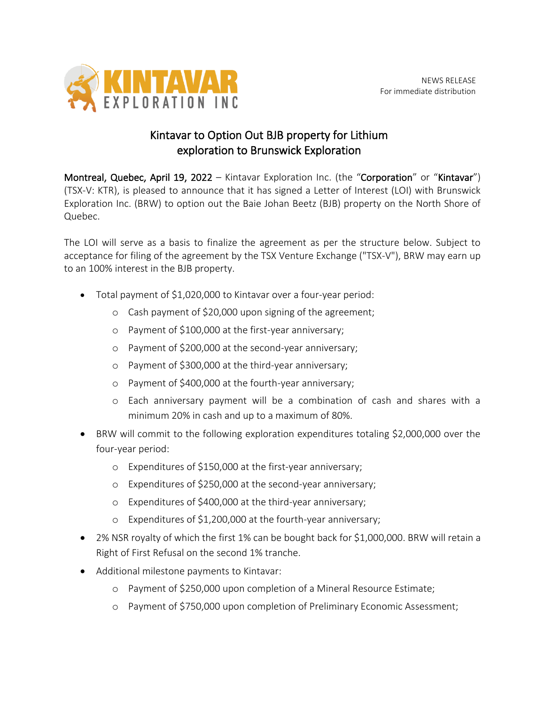

## Kintavar to Option Out BJB property for Lithium exploration to Brunswick Exploration

Montreal, Quebec, April 19, 2022 – Kintavar Exploration Inc. (the "Corporation" or "Kintavar") (TSX-V: KTR), is pleased to announce that it has signed a Letter of Interest (LOI) with Brunswick Exploration Inc. (BRW) to option out the Baie Johan Beetz (BJB) property on the North Shore of Quebec.

The LOI will serve as a basis to finalize the agreement as per the structure below. Subject to acceptance for filing of the agreement by the TSX Venture Exchange ("TSX-V"), BRW may earn up to an 100% interest in the BJB property.

- Total payment of \$1,020,000 to Kintavar over a four-year period:
	- o Cash payment of \$20,000 upon signing of the agreement;
	- o Payment of \$100,000 at the first-year anniversary;
	- o Payment of \$200,000 at the second-year anniversary;
	- o Payment of \$300,000 at the third-year anniversary;
	- o Payment of \$400,000 at the fourth-year anniversary;
	- o Each anniversary payment will be a combination of cash and shares with a minimum 20% in cash and up to a maximum of 80%.
- BRW will commit to the following exploration expenditures totaling \$2,000,000 over the four-year period:
	- o Expenditures of \$150,000 at the first-year anniversary;
	- o Expenditures of \$250,000 at the second-year anniversary;
	- o Expenditures of \$400,000 at the third-year anniversary;
	- o Expenditures of \$1,200,000 at the fourth-year anniversary;
- 2% NSR royalty of which the first 1% can be bought back for \$1,000,000. BRW will retain a Right of First Refusal on the second 1% tranche.
- Additional milestone payments to Kintavar:
	- o Payment of \$250,000 upon completion of a Mineral Resource Estimate;
	- o Payment of \$750,000 upon completion of Preliminary Economic Assessment;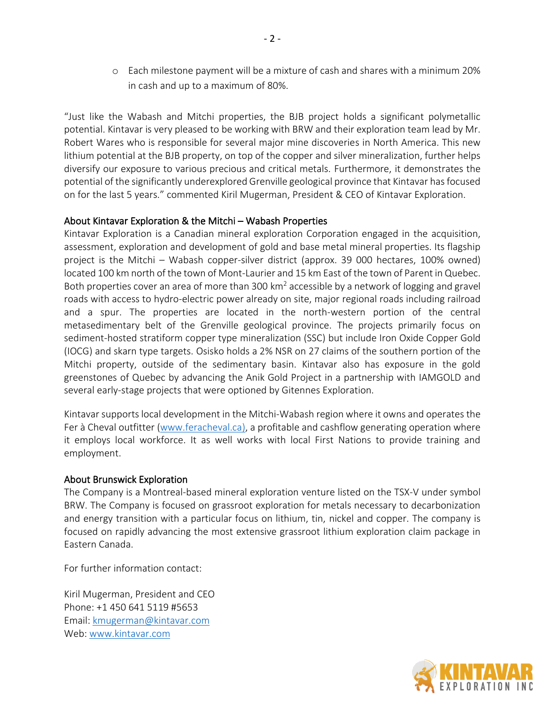o Each milestone payment will be a mixture of cash and shares with a minimum 20% in cash and up to a maximum of 80%.

"Just like the Wabash and Mitchi properties, the BJB project holds a significant polymetallic potential. Kintavar is very pleased to be working with BRW and their exploration team lead by Mr. Robert Wares who is responsible for several major mine discoveries in North America. This new lithium potential at the BJB property, on top of the copper and silver mineralization, further helps diversify our exposure to various precious and critical metals. Furthermore, it demonstrates the potential of the significantly underexplored Grenville geological province that Kintavar has focused on for the last 5 years." commented Kiril Mugerman, President & CEO of Kintavar Exploration.

## About Kintavar Exploration & the Mitchi – Wabash Properties

Kintavar Exploration is a Canadian mineral exploration Corporation engaged in the acquisition, assessment, exploration and development of gold and base metal mineral properties. Its flagship project is the Mitchi – Wabash copper-silver district (approx. 39 000 hectares, 100% owned) located 100 km north of the town of Mont-Laurier and 15 km East of the town of Parent in Quebec. Both properties cover an area of more than 300 km<sup>2</sup> accessible by a network of logging and gravel roads with access to hydro-electric power already on site, major regional roads including railroad and a spur. The properties are located in the north-western portion of the central metasedimentary belt of the Grenville geological province. The projects primarily focus on sediment-hosted stratiform copper type mineralization (SSC) but include Iron Oxide Copper Gold (IOCG) and skarn type targets. Osisko holds a 2% NSR on 27 claims of the southern portion of the Mitchi property, outside of the sedimentary basin. Kintavar also has exposure in the gold greenstones of Quebec by advancing the Anik Gold Project in a partnership with IAMGOLD and several early-stage projects that were optioned by Gitennes Exploration.

Kintavar supports local development in the Mitchi-Wabash region where it owns and operates the Fer à Cheval outfitter [\(www.feracheval.ca\)](http://www.feracheval.ca/), a profitable and cashflow generating operation where it employs local workforce. It as well works with local First Nations to provide training and employment.

## About Brunswick Exploration

The Company is a Montreal-based mineral exploration venture listed on the TSX-V under symbol BRW. The Company is focused on grassroot exploration for metals necessary to decarbonization and energy transition with a particular focus on lithium, tin, nickel and copper. The company is focused on rapidly advancing the most extensive grassroot lithium exploration claim package in Eastern Canada.

For further information contact:

Kiril Mugerman, President and CEO Phone: +1 450 641 5119 #5653 Email: [kmugerman@kintavar.com](mailto:kmugerman@kintavar.com) Web: [www.kintavar.com](http://www.kintavar.com/)